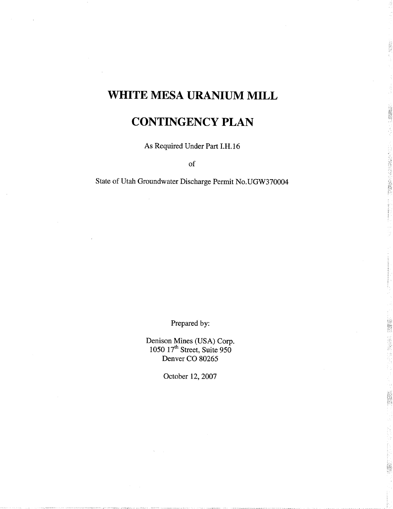# WHITE MESA URANIUM MILL

## CONTINGENCY PLAN

「大阪のことに

STREET.

**按照**<br>[2010]

As Required Under Part I.H.16

of

State of Utah Groundwater Discharge Permit No.UGW370004

Prepared by:

Denison Mines (USA) Corp  $1050$   $17<sup>th</sup>$  Street, Suite 950 Denver CO 80265

October 12, 2007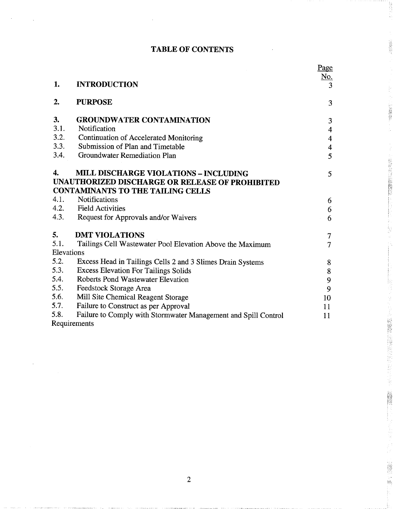## TABLE OF CONTENTS

1. 1989年

22000000

· 特定公司 (2008年6月)

B

美国家

ian<br>Biy

|            |                                                                | <u>Page</u>             |
|------------|----------------------------------------------------------------|-------------------------|
| 1.         | <b>INTRODUCTION</b>                                            | <u>No.</u><br>3         |
|            |                                                                |                         |
| 2.         | <b>PURPOSE</b>                                                 | 3                       |
| 3.         | <b>GROUNDWATER CONTAMINATION</b>                               | 3                       |
| 3.1.       | Notification                                                   | $\overline{4}$          |
| 3.2.       | <b>Continuation of Accelerated Monitoring</b>                  | $\overline{\mathbf{4}}$ |
| 3.3.       | Submission of Plan and Timetable                               | $\overline{\mathbf{4}}$ |
| 3.4.       | Groundwater Remediation Plan                                   | 5                       |
| 4.         | <b>MILL DISCHARGE VIOLATIONS - INCLUDING</b>                   | 5                       |
|            | UNAUTHORIZED DISCHARGE OR RELEASE OF PROHIBITED                |                         |
|            | <b>CONTAMINANTS TO THE TAILING CELLS</b>                       |                         |
| 4.1.       | <b>Notifications</b>                                           | 6                       |
| 4.2.       | <b>Field Activities</b>                                        | 6                       |
| 4.3.       | Request for Approvals and/or Waivers                           | 6                       |
| 5.         | <b>DMT VIOLATIONS</b>                                          | $\tau$                  |
| 5.1.       | Tailings Cell Wastewater Pool Elevation Above the Maximum      | $\overline{7}$          |
| Elevations |                                                                |                         |
| 5.2.       | Excess Head in Tailings Cells 2 and 3 Slimes Drain Systems     | $8\,$                   |
| 5.3.       | <b>Excess Elevation For Tailings Solids</b>                    | $\bf 8$                 |
| 5.4.       | <b>Roberts Pond Wastewater Elevation</b>                       | 9                       |
| 5.5.       | Feedstock Storage Area                                         | 9                       |
| 5.6.       | Mill Site Chemical Reagent Storage                             | 10                      |
| 5.7.       | Failure to Construct as per Approval                           | 11                      |
| 5.8.       | Failure to Comply with Stormwater Management and Spill Control | 11                      |
|            | Requirements                                                   |                         |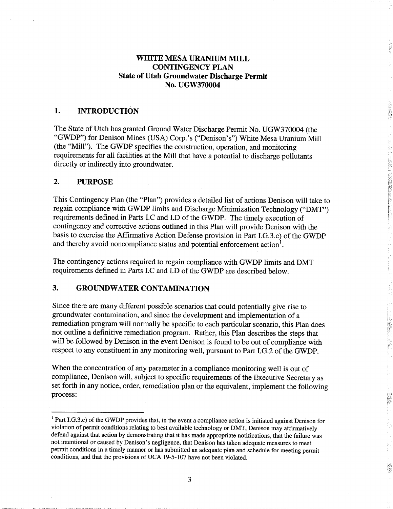### WHITE MESA URANIUM MILL CONTINGENCY PLAN State of Utah Groundwater Discharge Permit No. UGW370004

#### 1. INTRODUCTION

The State of Utah has granted Ground Water Discharge Permit No. UGW370004 (the "GWDP") for Denison Mines (USA) Corp.'s ("Denison's") White Mesa Uranium Mill (the "Mill"). The GWDP specifies the construction, operation, and monitoring requirements for all facilities at the Mill that have a potential to discharge pollutants directly or indirectly into groundwater

#### $2.$ PURPOSE

This Contingency Plan (the "Plan") provides a detailed list of actions Denison will take to regain compliance with GWDP limits and Discharge Minimization Technology ("DMT") requirements defined in Parts I.C and I.D of the GWDP. The timely execution of contingency and corrective actions outlined in this Plan will provide Denison with the basis to exercise the Affirmative Action Defense provision in Part I.G.3.c) of the GWDP and thereby avoid noncompliance status and potential enforcement action<sup>1</sup>.

The contingency actions required to regain compliance with GWDP limits and DMT requirements defined in Parts I.C and I.D of the GWDP are described below

#### $3.$ GROUNDWATER CONTAMINATION

Since there are many different possible scenarios that could potentially give rise to groundwater contamination, and since the development and implementation of a remediation program will normally be specific to each particular scenario, this Plan does not outline a definitive remediation program. Rather, this Plan describes the steps that will be followed by Denison in the event Denison is found to be out of compliance with respect to any constituent in any monitoring well, pursuant to Part I.G.2 of the GWDP.

When the concentration of any parameter in a compliance monitoring well is out of compliance, Denison will, subject to specific requirements of the Executive Secretary as set forth in any notice, order, remediation plan or the equivalent, implement the following process

 $<sup>1</sup>$  Part I.G.3.c) of the GWDP provides that, in the event a compliance action is initiated against Denison for</sup> violation of permit conditions relating to best available technology or DMT, Denison may affirmatively defend against that action by demonstrating that it has made appropriate notifications, that the failure was not intentional or caused by Denison's negligence, that Denison has taken adequate measures to meet permit conditions in a timely manner or has submitted an adequate plan and schedule for meeting permit conditions, and that the provisions of UCA 19-5-107 have not been violated.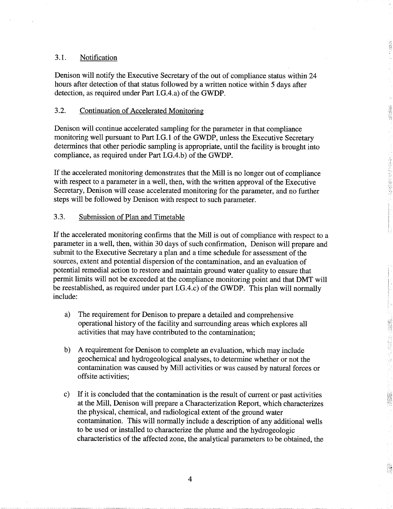#### 3.1 Notification

Denison will notify the Executive Secretary of the out of compliance status within <sup>24</sup> hours after detection of that status followed by a written notice within 5 days after detection, as required under Part I.G.4.a) of the GWDP.

#### 3.2 Continuation of Accelerated Monitoring

Denison will continue accelerated sampling for the parameter in that compliance monitoring well pursuant to Part I.G.1 of the GWDP, unless the Executive Secretary determines that other periodic sampling is appropriate, until the facility is brought into compliance, as required under Part I.G.4.b) of the GWDP.

If the accelerated monitoring demonstrates that the Mill is no longer out of compliance with respect to a parameter in a well, then, with the written approval of the Executive Secretary, Denison will cease accelerated monitoring for the parameter, and no further steps will be followed by Denison with respect to such parameter

今天中心 医皮肤皮炎 医心室

#### 3.3 Submission of Plan and Timetable

If the accelerated monitoring confirms that the Mill is out of compliance with respect to a parameter in a well, then, within 30 days of such confirmation, Denison will prepare and submit to the Executive Secretary a plan and a time schedule for assessment of the sources, extent and potential dispersion of the contamination, and an evaluation of potential remedial action to restore and maintain ground water quality to ensure that permit limits will not be exceeded at the compliance monitoring point and that DMT will be reestablished, as required under part I.G.4.c) of the GWDP. This plan will normally include

- The requirement for Denison to prepare a detailed and comprehensive a) operational history of the facility and surrounding areas which explores all activities that may have contributed to the contamination
- $b)$ A requirement for Denison to complete an evaluation, which may include geochemical and hydrogeological analyses to determine whether or not the contamination was caused by Mill activities or was caused by natural forces or offsite activities
- If it is concluded that the contamination is the result of current or past activities  $\mathbf{c}$ at the Mill, Denison will prepare a Characterization Report, which characterizes the physical, chemical, and radiological extent of the ground water contamination. This will normally include a description of any additional wells to be used or installed to characterize the plume and the hydrogeologic characteristics of the affected zone, the analytical parameters to be obtained, the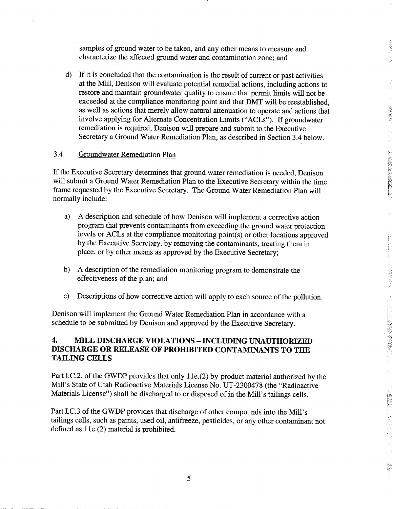samples of ground water to be taken, and any other means to measure and characterize the affected ground water and contamination zone; and

 $\mathbf{d}$ If it is concluded that the contamination is the result of current or past activities at the Mill, Denison will evaluate potential remedial actions, including actions to restore and maintain groundwater quality to ensure that permit limits will not be exceeded at the compliance monitoring point and that DMT will be reestablished as well as actions that merely allow natural attenuation to operate and actions that involve applying for Alternate Concentration Limits ("ACLs"). If groundwater remediation is required, Denison will prepare and submit to the Executive Secretary a Ground Water Remediation Plan, as described in Section 3.4 below.

2000年4月

휭

**大地震的 医神经病的** 

V<br>N

#### 3.4 Groundwater Remediation Plan

If the Executive Secretary determines that ground water remediation is needed, Denison will submit a Ground Water Remediation Plan to the Executive Secretary within the time frame requested by the Executive Secretary. The Ground Water Remediation Plan will normally include

- A description and schedule of how Denison will implement a corrective action a) program that prevents contaminants from exceeding the ground water protection levels or ACLs at the compliance monitoring point $(s)$  or other locations approved by the Executive Secretary, by removing the contaminants, treating them in place, or by other means as approved by the Executive Secretary:
- A description of the remediation monitoring program to demonstrate the  $\mathbf{b}$ effectiveness of the plan; and
- $\mathbf{c}$ Descriptions of how corrective action will apply to each source of the pollution.

Denison will implement the Ground Water Remediation Plan in accordance with schedule to be submitted by Denison and approved by the Executive Secretary

#### 4. MILL DISCHARGE VIOLATIONS - INCLUDING UNAUTHORIZED DISCHARGE OR RELEASE OF PROHIBITED CONTAMINANTS TO THE TAILING CELLS

Part I.C.2. of the GWDP provides that only 11e.(2) by-product material authorized by the Mill's State of Utah Radioactive Materials License No. UT-2300478 (the "Radioactive Materials License") shall be discharged to or disposed of in the Mill's tailings cells.

Part I.C.3 of the GWDP provides that discharge of other compounds into the Mill's tailings cells, such as paints, used oil, antifreeze, pesticides, or any other contaminant not defined as  $11e(2)$  material is prohibited.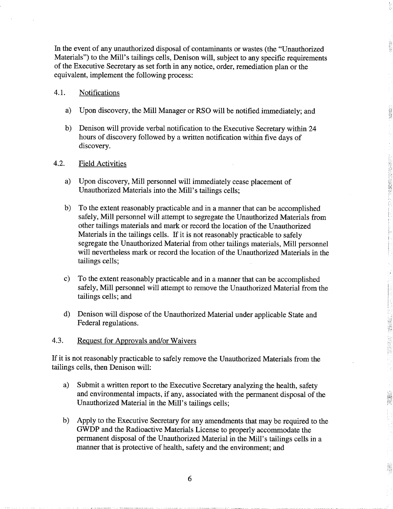In the event of any unauthorized disposal of contaminants or wastes (the "Unauthorized Materials") to the Mill's tailings cells, Denison will, subject to any specific requirements of the Executive Secretary as set forth in any notice, order, remediation plan or the equivalent, implement the following process:

#### 4.1 Notifications

- a) Upon discovery, the Mill Manager or RSO will be notified immediately; and
- $b)$ Denison will provide verbal notification to the Executive Secretary within <sup>24</sup> hours of discovery followed by a written notification within five days of discovery.

#### 4.2 Field Activities

- a) Upon discovery, Mill personnel will immediately cease placement of Unauthorized Materials into the Mill's tailings cells;
- $b)$ To the extent reasonably practicable and in a manner that can be accomplished safely, Mill personnel will attempt to segregate the Unauthorized Materials from other tailings materials and mark or record the location of the Unauthorized Materials in the tailings cells. If it is not reasonably practicable to safely segregate the Unauthorized Material from other tailings materials, Mill personnel will nevertheless mark or record the location of the Unauthorized Materials in the tailings cells
- $\mathbf{c}$ To the extent reasonably practicable and in a manner that can be accomplished safely, Mill personnel will attempt to remove the Unauthorized Material from the tailings cells; and
- $\mathbf{d}$ Denison will dispose of the Unauthorized Material under applicable State and Federal regulations

**SEAMS** 

4.3. Request for Approvals and/or Waivers

If it is not reasonably practicable to safely remove the Unauthorized Materials from the tailings cells, then Denison will:

- a) Submit a written report to the Executive Secretary analyzing the health, safety and environmental impacts if any associated with the permanent disposal of the Unauthorized Material in the Mill's tailings cells;
- $b)$ Apply to the Executive Secretary for any amendments that may be required to the GWDP and the Radioactive Materials License to properly accommodate the permanent disposal of the Unauthorized Material in the Mill's tailings cells in a manner that is protective of health, safety and the environment; and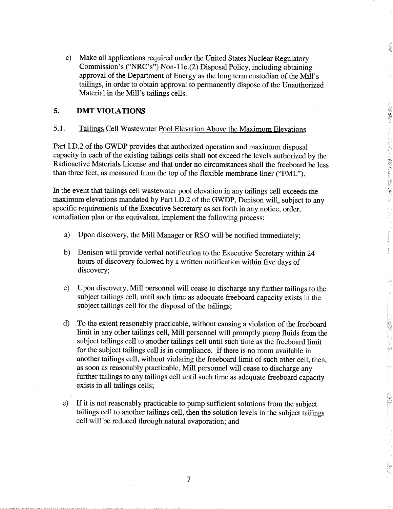Make all applications required under the United States Nuclear Regulatory  $\mathbf{c}$ Commission's ("NRC's") Non-11e. $(2)$  Disposal Policy, including obtaining approval of the Department of Energy as the long term custodian of the Mill's tailings, in order to obtain approval to permanently dispose of the Unauthorized Material in the Mill's tailings cells.

**READERS** 

1.48種の作品には1.15mgは機能の開発の

医心理的 医腹膜膜

#### 5. DMT VIOLATIONS

#### 5.1. Tailings Cell Wastewater Pool Elevation Above the Maximum Elevations

Part I.D.2 of the GWDP provides that authorized operation and maximum disposal capacity in each of the existing tailings cells shall not exceed the levels authorized by the Radioactive Materials License and that under no circumstances shall the freeboard be less than three feet, as measured from the top of the flexible membrane liner ("FML").

In the event that tailings cell wastewater pool elevation in any tailings cell exceeds the maximum elevations mandated by Part I.D.2 of the GWDP, Denison will, subject to any specific requirements of the Executive Secretary as set forth in any notice, order, remediation plan or the equivalent, implement the following process:

- Upon discovery, the Mill Manager or RSO will be notified immediately; a)
- b) Denison will provide verbal notification to the Executive Secretary within 24 hours of discovery followed by a written notification within five days of discovery;
- Upon discovery, Mill personnel will cease to discharge any further tailings to the  $\mathbf{c}$ ) subject tailings cell, until such time as adequate freeboard capacity exists in the subject tailings cell for the disposal of the tailings;
- $\mathbf{d}$ To the extent reasonably practicable, without causing a violation of the freeboard limit in any other tailings cell, Mill personnel will promptly pump fluids from the subject tailings cell to another tailings cell until such time as the freeboard limit for the subject tailings cell is in compliance. If there is no room available in another tailings cell, without violating the freeboard limit of such other cell, then, as soon as reasonably practicable, Mill personnel will cease to discharge any further tailings to any tailings cell until such time as adequate freeboard capacity exists in all tailings cells
- $e)$ If it is not reasonably practicable to pump sufficient solutions from the subject tailings cell to another tailings cell, then the solution levels in the subject tailings cell will be reduced through natural evaporation; and

 $\overline{7}$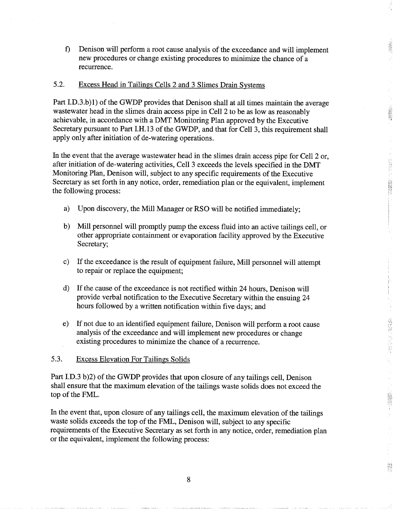$\mathbf{f}$ Denison will perform a root cause analysis of the exceedance and will implement new procedures or change existing procedures to minimize the chance of recurrence

#### 5.2. Excess Head in Tailings Cells 2 and 3 Slimes Drain Systems

Part I.D.3.b)1) of the GWDP provides that Denison shall at all times maintain the average wastewater head in the slimes drain access pipe in Cell 2 to be as low as reasonably achievable, in accordance with a DMT Monitoring Plan approved by the Executive Secretary pursuant to Part I.H.13 of the GWDP, and that for Cell 3, this requirement shall apply only after initiation of de-watering operations

医尾燕属

In the event that the average wastewater head in the slimes drain access pipe for Cell 2 or, after initiation of de-watering activities, Cell 3 exceeds the levels specified in the DMT Monitoring Plan, Denison will, subject to any specific requirements of the Executive Secretary as set forth in any notice, order, remediation plan or the equivalent, implement the following process

- Upon discovery, the Mill Manager or RSO will be notified immediately; a)
- $b)$ Mill personnel will promptly pump the excess fluid into an active tailings cell, or other appropriate containment or evaporation facility approved by the Executive Secretary;
- $\mathbf{c}$ ) If the exceedance is the result of equipment failure, Mill personnel will attempt to repair or replace the equipment
- d) If the cause of the exceedance is not rectified within 24 hours, Denison will provide verbal notification to the Executive Secretary within the ensuing 24 hours followed by a written notification within five days; and
- If not due to an identified equipment failure, Denison will perform a root cause  $e)$ analysis of the exceedance and will implement new procedures or change existing procedures to minimize the chance of a recurrence.

### 5.3 Excess Elevation For Tailings Solids

Part I.D.3 b)2) of the GWDP provides that upon closure of any tailings cell, Denison shall ensure that the maximum elevation of the tailings waste solids does not exceed the top of the FML

In the event that, upon closure of any tailings cell, the maximum elevation of the tailings waste solids exceeds the top of the FML, Denison will, subject to any specific requirements of the Executive Secretary as set forth in any notice, order, remediation plan or the equivalent, implement the following process: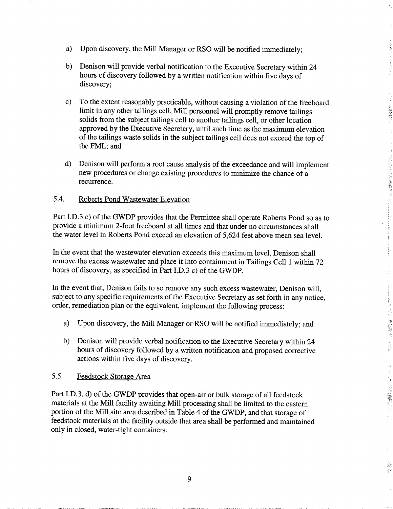- a) Upon discovery, the Mill Manager or RSO will be notified immediately;
- Denison will provide verbal notification to the Executive Secretary within <sup>24</sup>  $b)$ hours of discovery followed by a written notification within five days of discovery;
- $\mathbf{c}$ ) To the extent reasonably practicable, without causing a violation of the freeboard limit in any other tailings cell, Mill personnel will promptly remove tailings solids from the subject tailings cell to another tailings cell, or other location approved by the Executive Secretary, until such time as the maximum elevation of the tailings waste solids in the subject tailings cell does not exceed the top of the FML; and

200000

(注意表示), 1992年(1992年)

深深

 $\mathbf{d}$ Denison will perform a root cause analysis of the exceedance and will implement new procedures or change existing procedures to minimize the chance of recurrence

#### 5.4 Roberts Pond Wastewater Elevation

Part I.D.3 c) of the GWDP provides that the Permittee shall operate Roberts Pond so as to provide a minimum 2-foot freeboard at all times and that under no circumstances shall the water level in Roberts Pond exceed an elevation of 5,624 feet above mean sea level.

In the event that the wastewater elevation exceeds this maximum level, Denison shall remove the excess wastewater and place it into containment in Tailings Cell 1 within 72 hours of discovery, as specified in Part I.D.3 c) of the GWDP.

In the event that, Denison fails to so remove any such excess wastewater, Denison will, subject to any specific requirements of the Executive Secretary as set forth in any notice order, remediation plan or the equivalent, implement the following process:

- a) Upon discovery, the Mill Manager or RSO will be notified immediately; and
- Denison will provide verbal notification to the Executive Secretary within 24  $b)$ hours of discovery followed by a written notification and proposed corrective actions within five days of discovery

### 5.5 Feedstock Storage Area

Part I.D.3. d) of the GWDP provides that open-air or bulk storage of all feedstock materials at the Mill facility awaiting Mill processing shall be limited to the eastern portion of the Mill site area described in Table 4 of the GWDP, and that storage of feedstock materials at the facility outside that area shall be performed and maintained only in closed, water-tight containers.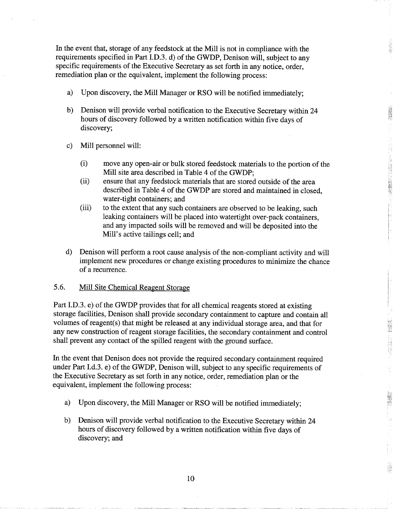In the event that, storage of any feedstock at the Mill is not in compliance with the requirements specified in Part I.D.3. d) of the GWDP, Denison will, subject to any specific requirements of the Executive Secretary as set forth in any notice, order, remediation plan or the equivalent, implement the following process:

- Upon discovery, the Mill Manager or RSO will be notified immediately; a)
- b) Denison will provide verbal notification to the Executive Secretary within 24 hours of discovery followed by a written notification within five days of discovery;
- Mill personnel will:  $\mathbf{c}$ 
	- move any open-air or bulk stored feedstock materials to the portion of the Mill site area described in Table 4 of the GWDP; ii) move any open-air or bulk stored feedstock materials to the portion o<br>Mill site area described in Table 4 of the GWDP;<br>(ii) ensure that any feedstock materials that are stored outside of the area

- 大学は、「大学の研究を学びる」

**NEWS** 

2000000

- described in Table 4 of the GWDP are stored and maintained in closed. water-tight containers; and
- (iii) to the extent that any such containers are observed to be leaking, such leaking containers will be placed into watertight over-pack containers and any impacted soils will be removed and will be deposited into the Mill's active tailings cell; and
- Denison will perform a root cause analysis of the non-compliant activity and will  $\mathbf{d}$ implement new procedures or change existing procedures to minimize the chance of a recurrence.

#### 5.6 Mill Site Chemical Reagent Storage

Part I.D.3. e) of the GWDP provides that for all chemical reagents stored at existing storage facilities, Denison shall provide secondary containment to capture and contain all volumes of reagent(s) that might be released at any individual storage area, and that for any new construction of reagent storage facilities, the secondary containment and control shall prevent any contact of the spilled reagent with the ground surface

In the event that Denison does not provide the required secondary containment required under Part I.d.3. e) of the GWDP, Denison will, subject to any specific requirements of the Executive Secretary as set forth in any notice, order, remediation plan or the equivalent, implement the following process:

- $a)$ Upon discovery, the Mill Manager or RSO will be notified immediately;
- $b)$ Denison will provide verbal notification to the Executive Secretary within 24 hours of discovery followed by a written notification within five days of discovery; and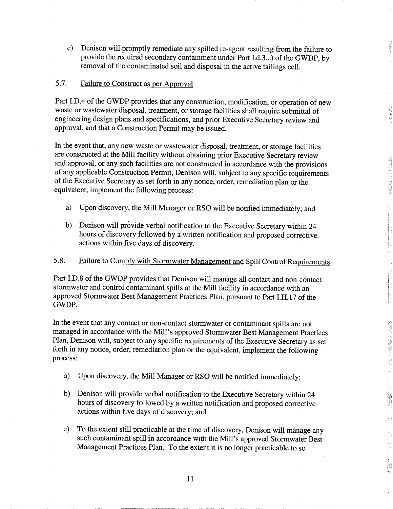Denison will promptly remediate any spilled re-agent resulting from the failure to  $\mathbf{c}$ ) provide the required secondary containment under Part I.d.3.e) of the GWDP, by removal of the contaminated soil and disposal in the active tailings cell

Ę

**SERVENT** 

**ASSES** 

**不在在 医传染器** 

쵧

### 5.7. Failure to Construct as per Approval

Part I.D.4 of the GWDP provides that any construction, modification, or operation of new waste or wastewater disposal, treatment, or storage facilities shall require submittal of engineering design plans and specifications, and prior Executive Secretary review and approval, and that a Construction Permit may be issued.

In the event that, any new waste or wastewater disposal, treatment, or storage facilities are constructed at the Mill facility without obtaining prior Executive Secretary review and approval, or any such facilities are not constructed in accordance with the provisions of any applicable Construction Permit, Denison will, subject to any specific requirements of the Executive Secretary as set forth in any notice, order, remediation plan or the equivalent, implement the following process:

- Upon discovery, the Mill Manager or RSO will be notified immediately; and a)
- Denison will provide verbal notification to the Executive Secretary within 24 b) hours of discovery followed by a written notification and proposed corrective actions within five days of discovery

### 5.8 Failure to Comply with Stormwater Management and Spill Control Requirements

Part I.D.8 of the GWDP provides that Denison will manage all contact and non-contact stormwater and control contaminant spills at the Mill facility in accordance with an approved Stormwater Best Management Practices Plan, pursuant to Part I.H.17 of the GWDP

In the event that any contact or non-contact stormwater or contaminant spills are not managed in accordance with the Mill's approved Stormwater Best Management Practices Plan, Denison will, subject to any specific requirements of the Executive Secretary as set forth in any notice, order, remediation plan or the equivalent, implement the following process

- $a)$ Upon discovery, the Mill Manager or RSO will be notified immediately;
- $b)$ Denison will provide verbal notification to the Executive Secretary within <sup>24</sup> hours of discovery followed by a written notification and proposed corrective actions within five days of discovery; and
- $\mathbf{c}$ To the extent still practicable at the time of discovery, Denison will manage any such contaminant spill in accordance with the Mill's approved Stormwater Best Management Practices Plan. To the extent it is no longer practicable to so